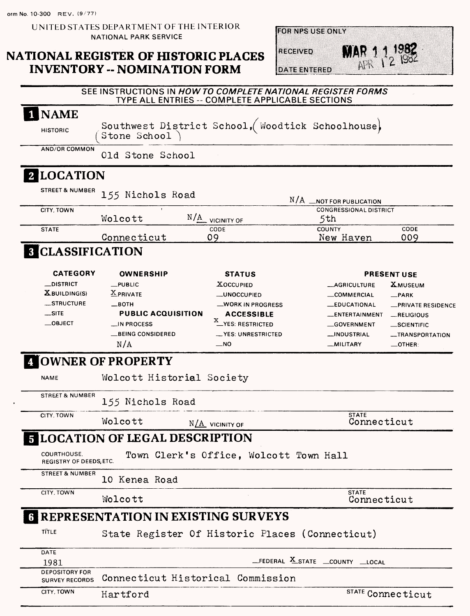**orm No. 10-300 REV. (9/77)**

**UNITED STATES DEPARTMENT OF THE INTERIOR NATIONAL PARK SERVICE**

# **NATIONAL REGISTER OF HISTORIC PLACES INVENTORY -- NOMINATION FORM**

**FOR NPS USE ONLY** 

**MAR** 1 1 1982

**DATE ENTERED** 

RECEIVED

|                                                        |                                             | SEE INSTRUCTIONS IN HOW TO COMPLETE NATIONAL REGISTER FORMS<br>TYPE ALL ENTRIES -- COMPLETE APPLICABLE SECTIONS |                                      |                                     |
|--------------------------------------------------------|---------------------------------------------|-----------------------------------------------------------------------------------------------------------------|--------------------------------------|-------------------------------------|
| <b>NAME</b>                                            |                                             |                                                                                                                 |                                      |                                     |
| <b>HISTORIC</b>                                        | Stone School                                | Southwest District School, Woodtick Schoolhouse,                                                                |                                      |                                     |
| <b>AND/OR COMMON</b>                                   | Old Stone School                            |                                                                                                                 |                                      |                                     |
| 2 LOCATION                                             |                                             |                                                                                                                 |                                      |                                     |
| <b>STREET &amp; NUMBER</b>                             | 155 Nichols Road                            |                                                                                                                 | N/A __ NOT FOR PUBLICATION           |                                     |
| CITY, TOWN                                             | Wolcott                                     | $N/\underline{A}$ vicinity of                                                                                   | <b>CONGRESSIONAL DISTRICT</b><br>5th |                                     |
| <b>STATE</b>                                           | Connecticut                                 | CODE<br>09                                                                                                      | <b>COUNTY</b><br>New Haven           | CODE<br>009                         |
| <b>8 CLASSIFICATION</b>                                |                                             |                                                                                                                 |                                      |                                     |
| <b>CATEGORY</b>                                        | <b>OWNERSHIP</b>                            | <b>STATUS</b>                                                                                                   |                                      | <b>PRESENT USE</b>                  |
| <b>_DISTRICT</b>                                       | $_{\text{L}}$ PUBLIC                        | Хоссирієр                                                                                                       | <b>__AGRICULTURE</b>                 | ${\bf x}$ museum                    |
| $X$ BUILDING(S)                                        | <b>X</b> PRIVATE                            | __UNOCCUPIED                                                                                                    | __COMMERCIAL                         | $\equiv$ PARK                       |
| __STRUCTURE                                            | $\equiv$ BOTH                               | _WORK IN PROGRESS                                                                                               | _EDUCATIONAL                         | -PRIVATE RESIDENCE                  |
| $\equiv$ SITE                                          | <b>PUBLIC ACQUISITION</b>                   | <b>ACCESSIBLE</b>                                                                                               | ENTERTAINMENT                        | RELIGIOUS                           |
| $\equiv$ OBJECT                                        | $\Box$ IN PROCESS                           | <b>X</b> _YES: RESTRICTED                                                                                       |                                      |                                     |
|                                                        |                                             |                                                                                                                 | __GOVERNMENT                         | __SCIENTIFIC                        |
|                                                        | <b>__BEING CONSIDERED</b><br>N/A            | __YES: UNRESTRICTED<br>$\overline{\phantom{0}}$ NO                                                              | __INDUSTRIAL<br>__MILITARY           | __TRANSPORTATION<br>$\equiv$ OTHER: |
|                                                        | <b>A OWNER OF PROPERTY</b>                  |                                                                                                                 |                                      |                                     |
| <b>NAME</b>                                            | Wolcott Historial Society                   |                                                                                                                 |                                      |                                     |
| <b>STREET &amp; NUMBER</b>                             | 155 Nichols Road                            |                                                                                                                 |                                      |                                     |
| CITY, TOWN                                             | Wolcott                                     | $N/\underline{A}$ vicinity of                                                                                   | <b>STATE</b><br>Connecticut          |                                     |
|                                                        | <b>5 LOCATION OF LEGAL DESCRIPTION</b>      |                                                                                                                 |                                      |                                     |
| COURTHOUSE.<br><b>REGISTRY OF DEEDS, ETC.</b>          |                                             | Town Clerk's Office, Wolcott Town Hall                                                                          |                                      |                                     |
| <b>STREET &amp; NUMBER</b>                             | 10 Kenea Road                               |                                                                                                                 |                                      |                                     |
| CITY, TOWN                                             | Wolcott                                     |                                                                                                                 | <b>STATE</b><br>Connecticut          |                                     |
|                                                        | <b>6 REPRESENTATION IN EXISTING SURVEYS</b> |                                                                                                                 |                                      |                                     |
| TÍTLE                                                  |                                             | State Register Of Historic Places (Connecticut)                                                                 |                                      |                                     |
| <b>DATE</b>                                            |                                             |                                                                                                                 | _FEDERAL X_STATE _COUNTY _LOCAL      |                                     |
| 1981<br><b>DEPOSITORY FOR</b><br><b>SURVEY RECORDS</b> | Connecticut Historical Commission           |                                                                                                                 |                                      |                                     |
| CITY, TOWN                                             | Hartford                                    |                                                                                                                 |                                      | STATE Connecticut                   |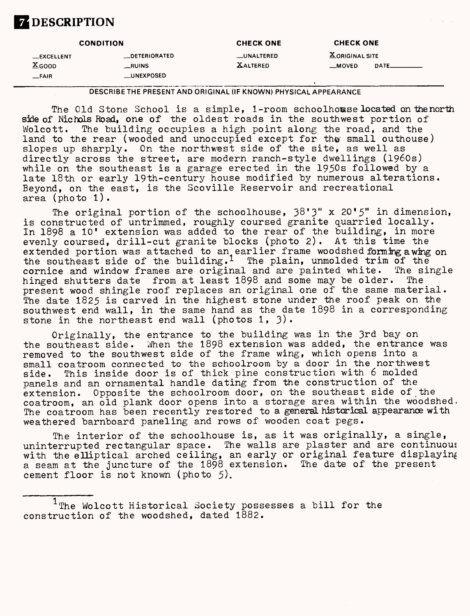# **ZDESCRIPTION**

| <b>CONDITION</b>                          |                                | <b>CHECK ONE</b>               | <b>CHECK ONE</b>                                                      |  |
|-------------------------------------------|--------------------------------|--------------------------------|-----------------------------------------------------------------------|--|
| <b>__EXCELLENT</b><br>$X$ <sub>GOOD</sub> | <b>DETERIORATED</b><br>__RUINS | __UNALTERED<br><b>XALTERED</b> | $\underline{\textbf{X}}$ ORIGINAL SITE<br>$\mathsf{DATE}$<br>$-MOVED$ |  |
| $-FA$ <sub>IR</sub>                       | __UNEXPOSED                    |                                |                                                                       |  |

**DESCRIBE THE PRESENT AND ORIGINAL (IF KNOWN) PHYSICAL APPEARANCE**

The Old Stone School is a simple, 1-room schoolhouse located on the north side of Nichols Road, one of the oldest roads in the southwest portion of Wolcott. The building occupies a high point along the road, and the land to the rear (wooded and unoccupied except for the small outhouse) slopes up sharply. On the northwest side of the site, as well as directly across the street, are modern ranch-style dwellings (1960s) while on the southeast is a garage erected in the 1950s followed by a late 18th or early 19th-century house modified by numerous alterations. Beyond, on the east, is the Scoville Reservoir and recreational area (photo l).

The original portion of the schoolhouse, 38\*3" x 20'5" in dimension, is constructed of untrimmed, roughly coursed granite quarried locally. In 1898 a 10' extension was added to the rear of the building, in more evenly coursed, drill-cut granite blocks (photo 2). At this time the extended portion was attached to an earlier frame woodshedforming awing on the southeast side of the building.<sup>1</sup> The plain, unmolded trim of the cornice and window frames are original and are painted white. The single hinged shutters date from at least 1898 and some may be older. The present wood shingle roof replaces an original one of the same material. The date 1825 is carved in the highest stone under the roof peak on the southwest end wall, in the same hand as the date 1898 in a corresponding stone in the northeast end wall (photos  $1, 3$ ).

Originally, the entrance to the building was in the 3rd bay on the southeast side. When the 1898 extension was added, the entrance was removed to the southwest side of the frame wing, which opens into a small coatroom connected to the schoolroom by a door in the northwest side. This inside door is of thick pine construction with 6 molded panels and an ornamental handle dating from the construction^of the extension. Opposite the schoolroom door, on the southeast side of the coatroom, an old plank door opens into a storage area within the woodshed, The coatroom has been recently restored to a general historical appearance with weathered barnboard paneling and rows of wooden coat pegs.

The interior of the schoolhouse is, as it was originally, a single, uninterrupted rectangular space. The walls are plaster and are continuous with the elliptical arched ceiling, an early or original feature displaying a seam at the juncture of the 1898 extension. The date of the present cement floor is not known (photo 5).

 $1$ The Wolcott Historical Society possesses a bill for the construction of the woodshed, dated 1882.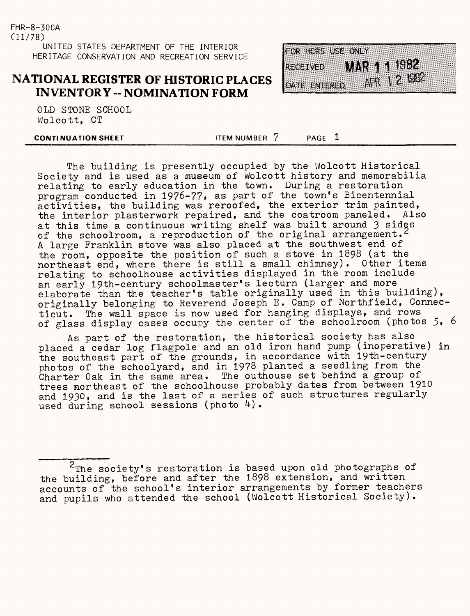#### **NATIONAL REGISTER OF HISTORIC PLACES INVENTORY -- NOMINATION FORM**

OLD STONE SCHOOL Wolcott, CT

**CONTINUATION SHEET ITEM NUMBER 7** PAGE 1

The building is presently occupied by the Wolcott Historical Society and is used as a museum of Wolcott history and memorabilia relating to early education in the town. During a restoration program conducted in 1976-77, as part of the town's Bicentennial activities, the building was reroofed, the exterior trim painted, the interior plasterwork repaired, and the coatroom paneled. Also at this time a continuous writing shelf was built around 3 sides of the schoolroom, a reproduction of the original arrangement.<sup>2</sup> A large Franklin stove was also placed at the southwest end of the room, opposite the position of such a stove in 1898 (at the northeast end, where there is still a small chimney). Other items relating to schoolhouse activities displayed in the room include an early 19th-century schoolmaster's lecturn (larger and more elaborate than the teacher's table originally used in this building), originally belonging to Reverend Joseph E. Camp of Northfield, Connecticut. The wall space is now used for hanging displays, and rows of glass display cases occupy the center of the schoolroom (photos 5, 6

As part of the restoration, the historical society has also placed a cedar log flagpole and an old iron hand pump (inoperative) in the southeast part of the grounds, in accordance with 19th-century photos of the schoolyard, and in 1978 planted a seedling from the Charter Oak in the same area. The outhouse set behind a group of trees northeast of the schoolhouse probably dates from between 1910 and 1930, and is the last of a series of such structures regularly used during school sessions (photo  $4$ ).

FOR HERS USE ONLY MAR 11 1982 **RECEIVED** Apr 1 2 1982 DATE ENTERED

 $2$ The society's restoration is based upon old photographs of the building, before and after the 1898 extension, and written accounts of the school's interior arrangements by former teachers and pupils who attended the school (Wolcott Historical Society).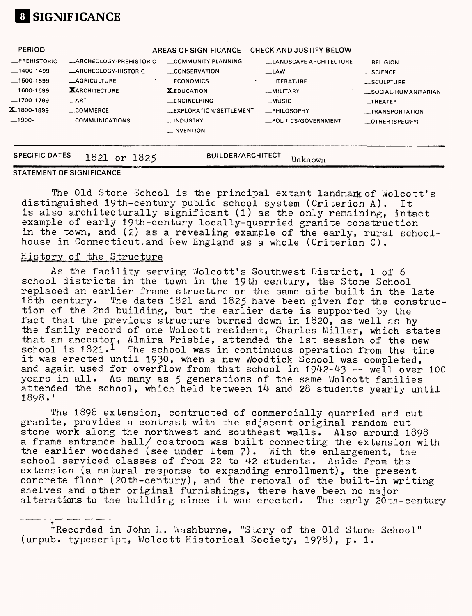

| PERIOD                                                                                                                 |                                                                                                                                                             | AREAS OF SIGNIFICANCE -- CHECK AND JUSTIFY BELOW                                                                                                               |                                                                                                                              |                                                                                                                               |
|------------------------------------------------------------------------------------------------------------------------|-------------------------------------------------------------------------------------------------------------------------------------------------------------|----------------------------------------------------------------------------------------------------------------------------------------------------------------|------------------------------------------------------------------------------------------------------------------------------|-------------------------------------------------------------------------------------------------------------------------------|
| <b>_PREHISTORIC</b><br>$-1400-1499$<br>$-1500-1599$<br>$-1600-1699$<br>$-1700-1799$<br><b>X_</b> 1800-1899<br>$-1900-$ | _ARCHEOLOGY-PREHISTORIC<br><b>ARCHEOLOGY-HISTORIC</b><br><b>_AGRICULTURE</b><br><b>XARCHITECTURE</b><br>$\equiv$ ART<br>$\equiv$ COMMERCE<br>COMMUNICATIONS | COMMUNITY PLANNING<br><b>CONSERVATION</b><br>__ECONOMICS<br><b>XEDUCATION</b><br>_ENGINEERING<br>EXPLORATION/SETTLEMENT<br><b>INDUSTRY</b><br>$\Box$ INVENTION | <b>LANDSCAPE ARCHITECTURE</b><br>__LAW<br>_LITERATURE<br>__MILITARY<br>__MUSIC<br><b>_PHILOSOPHY</b><br>_POLITICS/GOVERNMENT | RELIGION<br>$\_$ SCIENCE<br>__SCULPTURE<br>SOCIAL/HUMANITARIAN<br>$-$ THEATER<br>__TRANSPORTATION<br>$\equiv$ OTHER (SPECIFY) |
| <b>SPECIFIC DATES</b>                                                                                                  | 1821 or 1825<br><b>SECURE</b>                                                                                                                               | <b>BUILDER/ARCHITECT</b>                                                                                                                                       | Unknown                                                                                                                      |                                                                                                                               |

#### **STATEMENT OF SIGNIFICANCE**

The Old Stone School is the principal extant landmark of Wolcott's distinguished 19th-century public school system (Criterion A). It is also architecturally significant (1) as the only remaining, intact example of early 19th-century locally-quarried granite construction in the town, and (2) as a revealing example of the early, rural schoolhouse in Connecticut, and New England as a whole (Criterian C).

#### History of the Structure

As the facility serving Wolcott's Southwest District, 1 of 6 school districts in the town in the 19th century, the Stone School replaced an earlier frame structure on the same site built in the late 18th century. The dates 1821 and 1825 have been given for the construction of the 2nd building, but the earlier date is supported by the fact that the previous structure burned down in 1820, as well as by the family record of one Wolcott resident, Charles Miller, which states that an ancestor, Almira Frisbie, attended the 1st session of the new school is  $1821 \cdot^1$  The school was in continuous operation from the time it was erected until 1930, when a new Woodtick School was completed. and again used for overflow from that school in  $1942-43$  -- well over 100 years in all. As many as 5 generations of the same Wolcott families attended the school, which held between 14 and 28 students yearly until 1898.'

The 1898 extension, contructed of commercially quarried and cut granite, provides a contrast with the adjacent original random cut stone work along the northwest and southeast walls. Also around 1898 a frame entrance hall/ coatroom was built connecting the extension with the earlier woodshed (see under Item  $7$ ). With the enlargement, the school serviced classes of from 22 to 42 students. Aside from the extension (a natural response to expanding enrollment), the present concrete floor (20th-century), and the removal of the built-in writing shelves and other original furnishings, there have been no major alterations to the building since it was erected. The early 20th-century

<sup>&</sup>lt;sup>1</sup>Recorded in John H. Washburne, "Story of the Old Stone School" (unpub. typescript, Wolcott Historical Society, 1978), p. 1.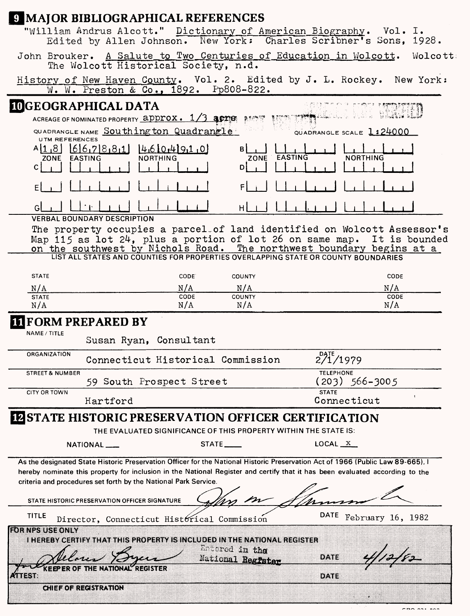|                                | <b>9 MAJOR BIBLIOGRAPHICAL REFERENCES</b>                                                                                               |                   |                                                 |                    |                          |  |
|--------------------------------|-----------------------------------------------------------------------------------------------------------------------------------------|-------------------|-------------------------------------------------|--------------------|--------------------------|--|
|                                | "William Andrus Alcott." Dictionary of American Biography. Vol. I.<br>Edited by Allen Johnson. New York: Charles Scribner's Sons, 1928. |                   |                                                 |                    |                          |  |
|                                | John Brouker. A Salute to Two Centuries of Education in Wolcott. Wolcott:<br>The Wolcott Historical Society, n.d.                       |                   |                                                 |                    |                          |  |
|                                | History of New Haven County. Vol. 2. Edited by J. L. Rockey. New York:<br>W. W. Preston & Co., 1892. Pp808-822.                         |                   |                                                 |                    |                          |  |
|                                | <b>IDGEOGRAPHICAL DATA</b>                                                                                                              |                   |                                                 |                    |                          |  |
|                                | ACREAGE OF NOMINATED PROPERTY <b>approx. 1/3 apress</b>                                                                                 |                   | 2.9.09.07                                       |                    |                          |  |
| <b>UTM REFERENCES</b>          | QUADRANGLE NAME Southing ton Quadrangle                                                                                                 |                   |                                                 |                    | QUADRANGLE SCALE 1:24000 |  |
| $A$  1,8 <br>ZONE EASTING<br>C | 667881<br><b>NORTHING</b>                                                                                                               | 4610.491.0        | ZONE<br>D                                       | EASTING            | <b>NORTHING</b>          |  |
|                                |                                                                                                                                         |                   |                                                 |                    |                          |  |
|                                |                                                                                                                                         |                   |                                                 |                    |                          |  |
|                                | <b>VERBAL BOUNDARY DESCRIPTION</b><br>The property occupies a parcel of land identified on Wolcott Assessor's                           |                   |                                                 |                    |                          |  |
|                                | Map 115 as lot 24, plus a portion of lot 26 on same map. It is bounded                                                                  |                   |                                                 |                    |                          |  |
|                                | on the southwest by Nichols Road. The northwest boundary begins at a                                                                    |                   |                                                 |                    |                          |  |
|                                |                                                                                                                                         |                   |                                                 |                    |                          |  |
| <b>STATE</b>                   |                                                                                                                                         | CODE <sup>®</sup> | COUNTY                                          |                    | CODE                     |  |
| N/A                            |                                                                                                                                         | N/A               | N/A                                             |                    | N/A                      |  |
| <b>STATE</b><br>N/A            |                                                                                                                                         | CODE<br>N/A       | <b>COUNTY</b><br>N/A                            |                    | <b>CODE</b><br>N/A       |  |
|                                | <b>FORM PREPARED BY</b>                                                                                                                 |                   |                                                 |                    |                          |  |
| NAME / TITLE                   |                                                                                                                                         |                   |                                                 |                    |                          |  |
|                                | Susan Ryan, Consultant                                                                                                                  |                   |                                                 |                    |                          |  |
| ORGANIZATION                   | Connecticut Historical Commission                                                                                                       |                   |                                                 | $2^{71/1979}$      |                          |  |
| <b>STREET &amp; NUMBER</b>     | 59 South Prospect Street                                                                                                                |                   |                                                 | <b>TELEPHONE</b>   | (203) 566–3005           |  |
| <b>CITY OR TOWN</b>            | Hartford                                                                                                                                |                   |                                                 | <b>STATE</b>       | Connecticut              |  |
|                                | <b>ESTATE HISTORIC PRESERVATION OFFICER CERTIFICATION</b>                                                                               |                   |                                                 |                    |                          |  |
|                                | THE EVALUATED SIGNIFICANCE OF THIS PROPERTY WITHIN THE STATE IS:                                                                        |                   |                                                 |                    |                          |  |
|                                | NATIONAL ___                                                                                                                            |                   |                                                 | LOCAL <sub>X</sub> |                          |  |
|                                | As the designated State Historic Preservation Officer for the National Historic Preservation Act of 1966 (Public Law 89-665), I         |                   |                                                 |                    |                          |  |
|                                | hereby nominate this property for inclusion in the National Register and certify that it has been evaluated according to the            |                   |                                                 |                    |                          |  |
|                                | criteria and procedures set forth by the National Park Service.                                                                         |                   |                                                 |                    |                          |  |
|                                | STATE HISTORIC PRESERVATION OFFICER SIGNATURE                                                                                           |                   |                                                 |                    |                          |  |
| <b>TITLE</b>                   | Director, Connecticut Histórical Commission                                                                                             |                   |                                                 | <b>DATE</b>        | February 16, 1982        |  |
| <b>FOR NPS USE ONLY</b>        | I HEREBY CERTIFY THAT THIS PROPERTY IS INCLUDED IN THE NATIONAL REGISTER                                                                |                   |                                                 |                    |                          |  |
|                                |                                                                                                                                         |                   | <sup>k</sup> a ared in the<br>National Register | DATE               |                          |  |
|                                | THE NATIONAL REGISTER                                                                                                                   |                   |                                                 |                    |                          |  |
|                                |                                                                                                                                         |                   |                                                 | DATE               |                          |  |
|                                | <b>CHIEF OF REGISTRATION</b>                                                                                                            |                   |                                                 |                    |                          |  |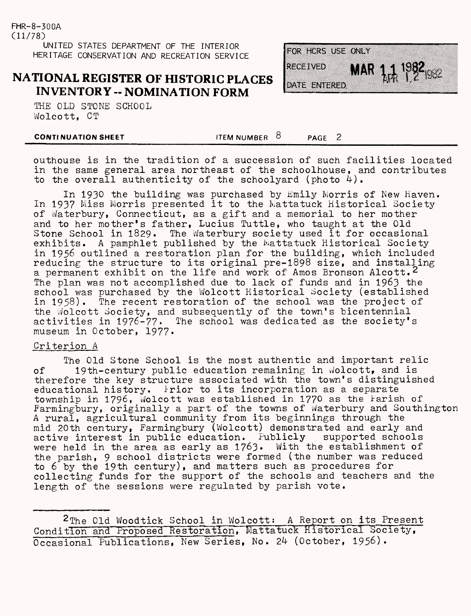## **NATIONAL REGISTER OF HISTORIC PLACES INVENTORY - NOMINATION FORM**

THE OLD STONE SCHOOL Wolcott, CT

FOR HCRS USE ONLY **RECEIVED**  $1982$ HR DATE ENTERED

**CONTINUATION SHEET ITEM NUMBER**  $\overline{8}$  **<b>PAGE** 2

outhouse is in the tradition of a succession of such facilities located in the same general area northeast of the schoolhouse, and contributes to the overall authenticity of the schoolyard (photo  $4$ ).

In 1930 the building was purchased by Emily Morris of New Haven. In 1937 Miss Morris presented it to the Mattatuck Historical Society of Waterbury, Connecticut, as a gift and a memorial to her mother and to her mother's father, Lucius Tuttle, who taught at the Old<br>Stone School in 1829. The Waterbury society used it for occasion The Waterbury society used it for occasional exhibits. A pamphlet published by the Mattatuck Historical Society in 1956 outlined a restoration plan for the building, which included reducing the structure to its original pre-1898 size, and installing a permanent exhibit on the life and work of Amos Bronson Alcott.<sup>2</sup> The plan was not accomplished due to lack of funds and in 1963 the school was purchased by the Wolcott Historical Society (established in 1958). The recent restoration of the school was the project of the Wolcott Society, and subsequently of the town's bicentennial activities in 1976-77. The school was dedicated as the society's museum in October, 1977.

#### Criterion A

The Old Stone School is the most authentic and important relic of 19th-century public education remaining in Wolcott, and is therefore the key structure associated with the town's distinguished educational history. Frior to its incorporation as a separate township in 1796, Wolcott was established in 1770 as the Parish of Parmingbury, originally a part of the towns of Waterbury and Southington A rural, agricultural community from its beginnings through the mid 20th century, Farmingbury (Wolcott) demonstrated and early and active interest in public education. Fublicly supported schools active interest in public education. Publicly supported schools<br>were held in the area as early as 1763. With the establishment of were held in the area as early as  $1763$ . the parish, 9 school districts were formed (the number was reduced to  $6$  by the 19th century), and matters such as procedures for collecting funds for the support of the schools and teachers and the length of the sessions were regulated by parish vote.

2 The Old Woodtick School in Wolcott; A Report on its Present Condition and Proposed Restoration, Mattatuck Historical Society, Occasional Publications, New Series, No. 2k (October, 1956).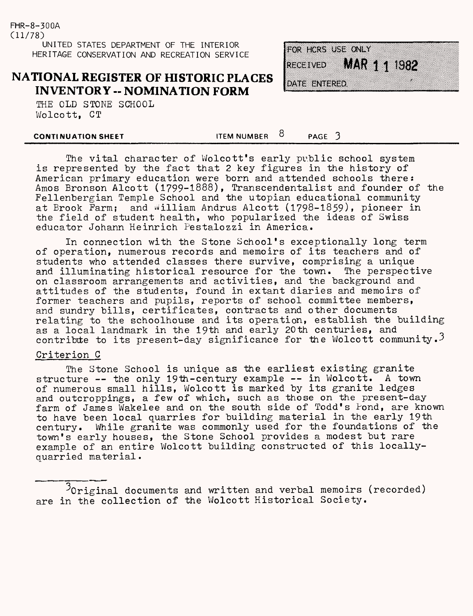## **NATIONAL REGISTER OF HISTORIC PLACES INVENTORY -- NOMINATION FORM**

THE OLD STONE SCHOOL Wolcott, CT

| OR HORS USE ONLY |                    |  |
|------------------|--------------------|--|
| <b>UECHINED</b>  | <b>MAR 11 1982</b> |  |
| DATE ENTERED     |                    |  |

**CONTINUATION SHEET ITEM NUMBER**  $8$  **PAGE** 3

The vital character of Wolcott's early public school system is represented by the fact that 2 key figures in the history of American primary education were born and attended schools there: Amos Bronson Alcott (1799-1888), Transcendentalist and founder of the Fellenbergian Temple School and the utopian educational community at Brook Farm; and William Andrus Alcott (1798-1859), pioneer in the field of student health, who popularized the ideas of Swiss educator Johann Heinrich Pestalozzi in America.

In connection with the Stone School's exceptionally long term of operation, numerous records and memoirs of its teachers and of students who attended classes there survive, comprising a unique and illuminating historical resource for the town. The perspective on classroom arrangements and activities, and the background and attitudes of the students, found in extant diaries and memoirs of former teachers and pupils, reports of school committee members, and sundry bills, certificates, contracts and other documents relating to the schoolhouse and its operation, establish the building as a local landmark in the 19th and early 20th centuries, and contribute to its present-day significance for the Wolcott community.<sup>3</sup>

#### Criterion G

The Stone School is unique as the earliest existing granite structure  $-$ - the only 19th-century example  $-$ - in Wolcott. A town of numerous small hills, Wolcott is marked by its granite ledges and outcroppings, a few of which, such as those on the present-day farm of James Wakelee and on the south side of Todd's Pond, are known to have been local quarries for building material in the early 19th century. While granite was commonly used for the foundations of the town's early houses, the Stone School provides a modest but rare example of an entire Wolcott building constructed of this locallyquarried material

 $3$ Original documents and written and verbal memoirs (recorded) are in the collection of the Wolcott Historical Society.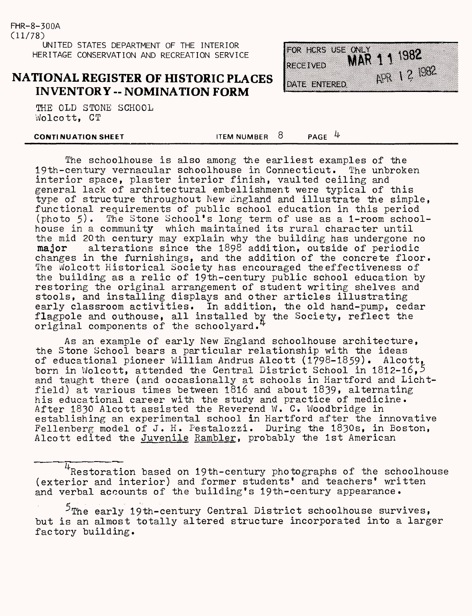## **NATIONAL REGISTER OF HISTORIC PLACES INVENTORY -- NOMINATION FORM**

THE OLD STONE SCHOOL Wolcott, CT

#### **CONTINUATION SHEET**

ITEM NUMBER  $8$  PAGE 4

The schoolhouse is also among the earliest examples of the 19th-century vernacular schoolhouse in Connecticut. The unbroken interior space, plaster interior finish, vaulted ceiling and general lack of architectural embellishment were typical of this type of structure throughout New England and illustrate the simple, functional requirements of public school education in this period (photo 5). The Stone School's long term of use as a 1-room school The Stone School's long term of use as a 1-room schoolhouse in a community which maintained its rural character until the mid 20th century may explain why the building has undergone no major alterations since the 1898 addition, outside of periodic changes in the furnishings, and the addition of the concrete floor. The Wolcott Historical Society has encouraged the effectiveness of the building as a relic of 19th-century public school education by restoring the original arrangement of student writing shelves and stools, and installing displays and other articles illustrating early classroom activities. In addition, the old hand-pump, cedar flagpole and outhouse, all installed by the Society, reflect the original components of the schoolyard.<sup>4</sup>

As an example of early New England schoolhouse architecture, the Stone School bears a particular relationship with the ideas of educational pioneer William Andrus Alcott (1798-1859). Alcott, born in Wolcott, attended the Central District School in 1812-16,  $5$ and taught there (and occasionally at schools in Hartford and Lichtfield) at various times between 1816 and about 1839, alternating his educational career with the study and practice of medicine. After 1830 Alcott assisted the Reverend W. C. Woodbridge in establishing an experimental school in Hartford after the innovative Fellenberg model of J. H. Pestalozzi. During the 1830s, in Boston, Alcott edited the Juvenile Rambler, probably the 1st American

<sup>4</sup>Restoration based on 19th-century photographs of the schoolhouse (exterior and interior) and former students' and teachers' written and verbal accounts of the building's 19th-century appearance.

 $5$ The early 19th-century Central District schoolhouse survives, but is an almost totally altered structure incorporated into a larger factory building.

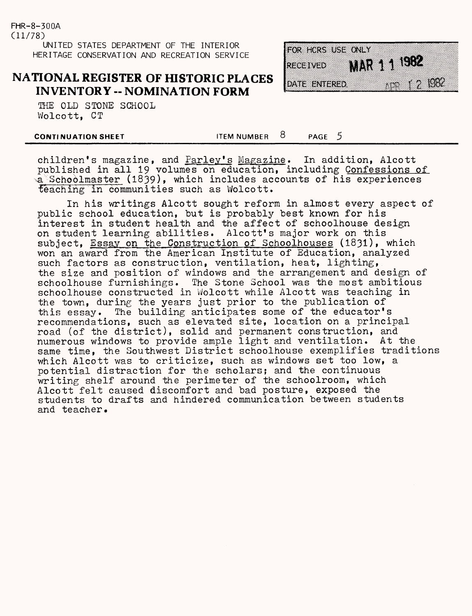#### **NATIONAL REGISTER OF HISTORIC PLACES INVENTORY -- NOMINATION FORM**

THE OLD STONE SCHOOL Wolcott, CT

FOR HCRS USE ONLY MAR 1 1 1982 **RECEIVED 1552 12 1982** DATE ENTERED

**CONTINUATION SHEET ITEM NUMBER** 8 **PAGE** 5

children's magazine, and Parley's Magazine. In addition, Alcott published in all 19 volumes on education, including Confessions of a Schoolmaster (1839), which includes accounts of his experiences teaching in communities such as Wolcott.

In his writings Alcott sought reform in almost every aspect of public school education, but is probably best known for his interest in student health and the affect of schoolhouse design on student learning abilities. Alcott's major work on this subject, Essay on the Construction of Schoolhouses (1831), which won an award from the American Institute of Education, analyzed such factors as construction, ventilation, heat, lighting, the size and position of windows and the arrangement and design of schoolhouse furnishings. The Stone School was the most ambitious schoolhouse constructed in Wolcott while Alcott was teaching in the town, during the years just prior to the publication of this essay. The building anticipates some of the educator's recommendations, such as elevated site, location on a principal road (of the district), solid and permanent construction, and numerous windows to provide ample light and ventilation. At the same time, the Southwest District schoolhouse exemplifies traditions which Alcott was to criticize, such as windows set too low, a potential distraction for the scholars; and the continuous writing shelf around the perimeter of the schoolroom, which Alcott felt caused discomfort and bad posture, exposed the students to drafts and hindered communication between students and teacher.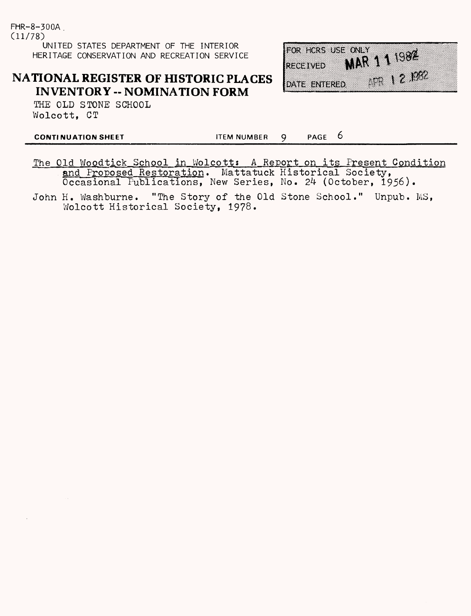# **NATIONAL REGISTER OF HISTORIC PLACES INVENTORY -- NOMINATION FORM**

THE OLD STONE SCHOOL Wolcott, CT

FOR HCRS USE ONLY  $MR$  111982 **RECEIVED** FR 12.1992 DATE ENTERED

**CONTINUATION SHEET ITEM NUMBER** 9 PAGE 6

The Old Woodtick School in Wolcott: A Report on its Present Condition and Proposed Restoration. Mattatuck Historical Society, Occasional Publications, New Series, No. 24 (October, 1956).

John H. Washburne. "The Story of the Old Stone School." Unpub. MS,Wolcott Historical Society, 19?8.